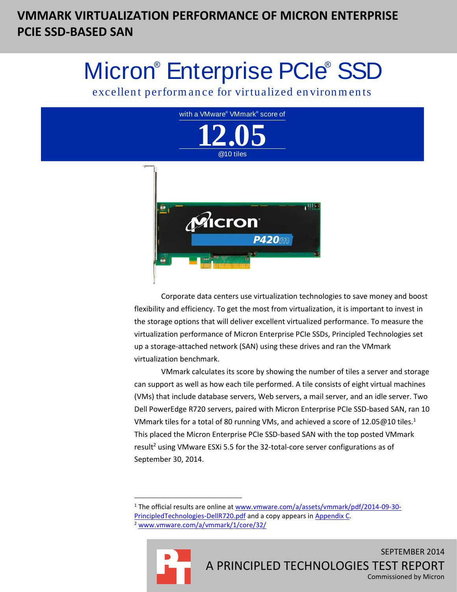# **VMMARK VIRTUALIZATION PERFORMANCE OF MICRON ENTERPRISE PCIE SSD-BASED SAN**

# Micron<sup>®</sup> Enterprise PCIe® SSD

excellent performance for virtualized environments



Corporate data centers use virtualization technologies to save money and boost flexibility and efficiency. To get the most from virtualization, it is important to invest in the storage options that will deliver excellent virtualized performance. To measure the virtualization performance of Micron Enterprise PCIe SSDs, Principled Technologies set up a storage-attached network (SAN) using these drives and ran the VMmark virtualization benchmark.

VMmark calculates its score by showing the number of tiles a server and storage can support as well as how each tile performed. A tile consists of eight virtual machines (VMs) that include database servers, Web servers, a mail server, and an idle server. Two Dell PowerEdge R720 servers, paired with Micron Enterprise PCIe SSD-based SAN, ran 10 VMmark tiles for a total of 80 running VMs, and achieved a score of 12.05@10 tiles.<sup>1</sup> This placed the Micron Enterprise PCIe SSD-based SAN with the top posted VMmark result<sup>2</sup> using VMware ESXi 5.5 for the 32-total-core server configurations as of September 30, 2014.

<sup>2</sup> [www.vmware.com/a/vmmark/1/core/32/](http://www.vmware.com/a/vmmark/1/core/32/)



 $\overline{a}$ 

<sup>1</sup> The official results are online a[t www.vmware.com/a/assets/vmmark/pdf/2014-09-30-](http://www.vmware.com/a/assets/vmmark/pdf/2014-09-30-PrincipledTechnologies-DellR720.pdf) [PrincipledTechnologies-DellR720.pdf](http://www.vmware.com/a/assets/vmmark/pdf/2014-09-30-PrincipledTechnologies-DellR720.pdf) and a copy appears in Appendix C.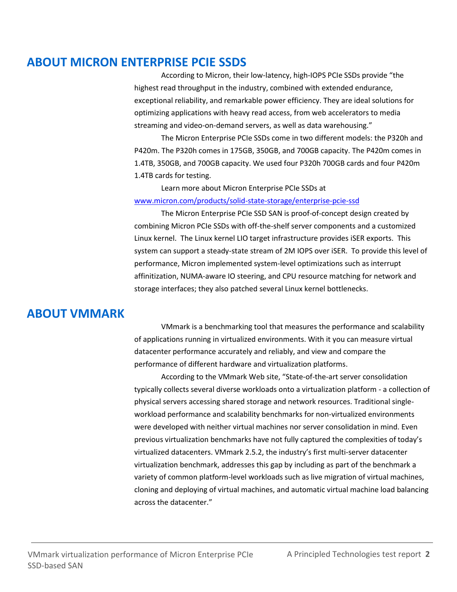### **ABOUT MICRON ENTERPRISE PCIE SSDS**

According to Micron, their low-latency, high-IOPS PCIe SSDs provide "the highest read throughput in the industry, combined with extended endurance, exceptional reliability, and remarkable power efficiency. They are ideal solutions for optimizing applications with heavy read access, from web accelerators to media streaming and video-on-demand servers, as well as data warehousing."

The Micron Enterprise PCIe SSDs come in two different models: the P320h and P420m. The P320h comes in 175GB, 350GB, and 700GB capacity. The P420m comes in 1.4TB, 350GB, and 700GB capacity. We used four P320h 700GB cards and four P420m 1.4TB cards for testing.

Learn more about Micron Enterprise PCIe SSDs at [www.micron.com/products/solid-state-storage/enterprise-pcie-ssd](http://www.micron.com/products/solid-state-storage/enterprise-pcie-ssd)

The Micron Enterprise PCIe SSD SAN is proof-of-concept design created by combining Micron PCIe SSDs with off-the-shelf server components and a customized Linux kernel. The Linux kernel LIO target infrastructure provides iSER exports. This system can support a steady-state stream of 2M IOPS over iSER. To provide this level of performance, Micron implemented system-level optimizations such as interrupt affinitization, NUMA-aware IO steering, and CPU resource matching for network and storage interfaces; they also patched several Linux kernel bottlenecks.

### **ABOUT VMMARK**

VMmark is a benchmarking tool that measures the performance and scalability of applications running in virtualized environments. With it you can measure virtual datacenter performance accurately and reliably, and view and compare the performance of different hardware and virtualization platforms.

According to the VMmark Web site, "State-of-the-art server consolidation typically collects several diverse workloads onto a virtualization platform - a collection of physical servers accessing shared storage and network resources. Traditional singleworkload performance and scalability benchmarks for non-virtualized environments were developed with neither virtual machines nor server consolidation in mind. Even previous virtualization benchmarks have not fully captured the complexities of today's virtualized datacenters. VMmark 2.5.2, the industry's first multi-server datacenter virtualization benchmark, addresses this gap by including as part of the benchmark a variety of common platform-level workloads such as live migration of virtual machines, cloning and deploying of virtual machines, and automatic virtual machine load balancing across the datacenter."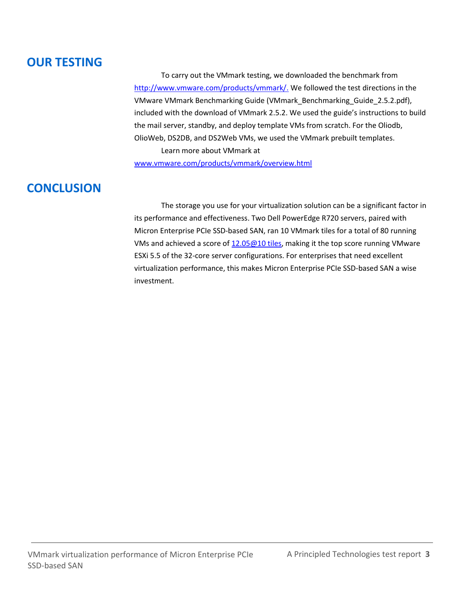### **OUR TESTING**

To carry out the VMmark testing, we downloaded the benchmark from [http://www.vmware.com/products/vmmark/.](http://www.vmware.com/products/vmmark/) We followed the test directions in the VMware VMmark Benchmarking Guide (VMmark\_Benchmarking\_Guide\_2.5.2.pdf), included with the download of VMmark 2.5.2. We used the guide's instructions to build the mail server, standby, and deploy template VMs from scratch. For the Oliodb, OlioWeb, DS2DB, and DS2Web VMs, we used the VMmark prebuilt templates. Learn more about VMmark at

[www.vmware.com/products/vmmark/overview.html](http://www.vmware.com/products/vmmark/overview.html)

### **CONCLUSION**

The storage you use for your virtualization solution can be a significant factor in its performance and effectiveness. Two Dell PowerEdge R720 servers, paired with Micron Enterprise PCIe SSD-based SAN, ran 10 VMmark tiles for a total of 80 running VMs and achieved a score of  $12.05@10$  tiles, making it the top score running VMware ESXi 5.5 of the 32-core server configurations. For enterprises that need excellent virtualization performance, this makes Micron Enterprise PCIe SSD-based SAN a wise investment.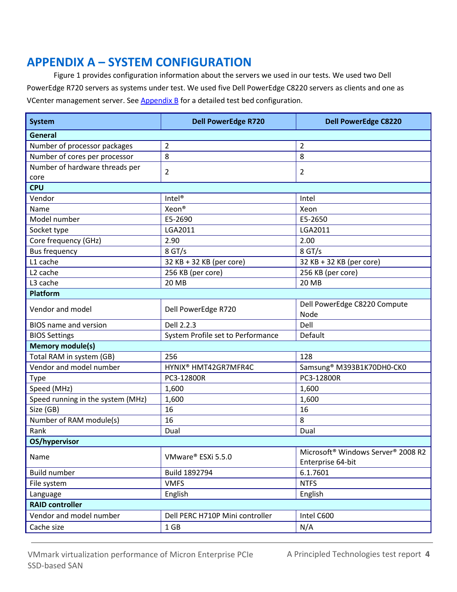### **APPENDIX A – SYSTEM CONFIGURATION**

Figure 1 provides configuration information about the servers we used in our tests. We used two Dell PowerEdge R720 servers as systems under test. We used five Dell PowerEdge C8220 servers as clients and one as VCenter management server. Se[e Appendix B](#page-4-0) for a detailed test bed configuration.

| General<br>2<br>$\overline{2}$<br>Number of processor packages<br>Number of cores per processor<br>8<br>8<br>Number of hardware threads per<br>$\overline{2}$<br>$\overline{2}$<br>core<br><b>CPU</b><br>Intel <sup>®</sup><br>Vendor<br>Intel<br>Xeon <sup>®</sup><br>Name<br>Xeon<br>Model number<br>E5-2650<br>E5-2690<br>LGA2011<br>LGA2011<br>Socket type<br>Core frequency (GHz)<br>2.00<br>2.90<br>8 GT/s<br>8 GT/s<br><b>Bus frequency</b><br>L1 cache<br>32 KB + 32 KB (per core)<br>32 KB + 32 KB (per core)<br>L <sub>2</sub> cache<br>256 KB (per core)<br>256 KB (per core)<br>L3 cache<br><b>20 MB</b><br><b>20 MB</b><br><b>Platform</b><br>Dell PowerEdge C8220 Compute<br>Vendor and model<br>Dell PowerEdge R720<br>Node<br>Dell 2.2.3<br>Dell<br><b>BIOS</b> name and version<br>Default<br>System Profile set to Performance<br><b>BIOS Settings</b><br><b>Memory module(s)</b><br>Total RAM in system (GB)<br>128<br>256<br>Vendor and model number<br>HYNIX <sup>®</sup> HMT42GR7MFR4C<br>Samsung <sup>®</sup> M393B1K70DH0-CK0<br>PC3-12800R<br>PC3-12800R<br><b>Type</b><br>Speed (MHz)<br>1,600<br>1,600<br>Speed running in the system (MHz)<br>1,600<br>1,600<br>16<br>Size (GB)<br>16<br>Number of RAM module(s)<br>8<br>16<br>Rank<br>Dual<br>Dual<br>OS/hypervisor<br>Microsoft <sup>®</sup> Windows Server <sup>®</sup> 2008 R2<br>VMware® ESXi 5.5.0<br>Name<br>Enterprise 64-bit<br><b>Build number</b><br>Build 1892794<br>6.1.7601<br><b>NTFS</b><br>File system<br><b>VMFS</b><br>English<br>Language<br>English<br><b>RAID controller</b><br>Vendor and model number<br>Intel C600<br>Dell PERC H710P Mini controller<br>Cache size<br>N/A<br>1 GB | <b>System</b> | <b>Dell PowerEdge R720</b> | <b>Dell PowerEdge C8220</b> |  |  |  |  |
|-----------------------------------------------------------------------------------------------------------------------------------------------------------------------------------------------------------------------------------------------------------------------------------------------------------------------------------------------------------------------------------------------------------------------------------------------------------------------------------------------------------------------------------------------------------------------------------------------------------------------------------------------------------------------------------------------------------------------------------------------------------------------------------------------------------------------------------------------------------------------------------------------------------------------------------------------------------------------------------------------------------------------------------------------------------------------------------------------------------------------------------------------------------------------------------------------------------------------------------------------------------------------------------------------------------------------------------------------------------------------------------------------------------------------------------------------------------------------------------------------------------------------------------------------------------------------------------------------------------------------------------------------------------------------------------------|---------------|----------------------------|-----------------------------|--|--|--|--|
|                                                                                                                                                                                                                                                                                                                                                                                                                                                                                                                                                                                                                                                                                                                                                                                                                                                                                                                                                                                                                                                                                                                                                                                                                                                                                                                                                                                                                                                                                                                                                                                                                                                                                         |               |                            |                             |  |  |  |  |
|                                                                                                                                                                                                                                                                                                                                                                                                                                                                                                                                                                                                                                                                                                                                                                                                                                                                                                                                                                                                                                                                                                                                                                                                                                                                                                                                                                                                                                                                                                                                                                                                                                                                                         |               |                            |                             |  |  |  |  |
|                                                                                                                                                                                                                                                                                                                                                                                                                                                                                                                                                                                                                                                                                                                                                                                                                                                                                                                                                                                                                                                                                                                                                                                                                                                                                                                                                                                                                                                                                                                                                                                                                                                                                         |               |                            |                             |  |  |  |  |
|                                                                                                                                                                                                                                                                                                                                                                                                                                                                                                                                                                                                                                                                                                                                                                                                                                                                                                                                                                                                                                                                                                                                                                                                                                                                                                                                                                                                                                                                                                                                                                                                                                                                                         |               |                            |                             |  |  |  |  |
|                                                                                                                                                                                                                                                                                                                                                                                                                                                                                                                                                                                                                                                                                                                                                                                                                                                                                                                                                                                                                                                                                                                                                                                                                                                                                                                                                                                                                                                                                                                                                                                                                                                                                         |               |                            |                             |  |  |  |  |
|                                                                                                                                                                                                                                                                                                                                                                                                                                                                                                                                                                                                                                                                                                                                                                                                                                                                                                                                                                                                                                                                                                                                                                                                                                                                                                                                                                                                                                                                                                                                                                                                                                                                                         |               |                            |                             |  |  |  |  |
|                                                                                                                                                                                                                                                                                                                                                                                                                                                                                                                                                                                                                                                                                                                                                                                                                                                                                                                                                                                                                                                                                                                                                                                                                                                                                                                                                                                                                                                                                                                                                                                                                                                                                         |               |                            |                             |  |  |  |  |
|                                                                                                                                                                                                                                                                                                                                                                                                                                                                                                                                                                                                                                                                                                                                                                                                                                                                                                                                                                                                                                                                                                                                                                                                                                                                                                                                                                                                                                                                                                                                                                                                                                                                                         |               |                            |                             |  |  |  |  |
|                                                                                                                                                                                                                                                                                                                                                                                                                                                                                                                                                                                                                                                                                                                                                                                                                                                                                                                                                                                                                                                                                                                                                                                                                                                                                                                                                                                                                                                                                                                                                                                                                                                                                         |               |                            |                             |  |  |  |  |
|                                                                                                                                                                                                                                                                                                                                                                                                                                                                                                                                                                                                                                                                                                                                                                                                                                                                                                                                                                                                                                                                                                                                                                                                                                                                                                                                                                                                                                                                                                                                                                                                                                                                                         |               |                            |                             |  |  |  |  |
|                                                                                                                                                                                                                                                                                                                                                                                                                                                                                                                                                                                                                                                                                                                                                                                                                                                                                                                                                                                                                                                                                                                                                                                                                                                                                                                                                                                                                                                                                                                                                                                                                                                                                         |               |                            |                             |  |  |  |  |
|                                                                                                                                                                                                                                                                                                                                                                                                                                                                                                                                                                                                                                                                                                                                                                                                                                                                                                                                                                                                                                                                                                                                                                                                                                                                                                                                                                                                                                                                                                                                                                                                                                                                                         |               |                            |                             |  |  |  |  |
|                                                                                                                                                                                                                                                                                                                                                                                                                                                                                                                                                                                                                                                                                                                                                                                                                                                                                                                                                                                                                                                                                                                                                                                                                                                                                                                                                                                                                                                                                                                                                                                                                                                                                         |               |                            |                             |  |  |  |  |
|                                                                                                                                                                                                                                                                                                                                                                                                                                                                                                                                                                                                                                                                                                                                                                                                                                                                                                                                                                                                                                                                                                                                                                                                                                                                                                                                                                                                                                                                                                                                                                                                                                                                                         |               |                            |                             |  |  |  |  |
|                                                                                                                                                                                                                                                                                                                                                                                                                                                                                                                                                                                                                                                                                                                                                                                                                                                                                                                                                                                                                                                                                                                                                                                                                                                                                                                                                                                                                                                                                                                                                                                                                                                                                         |               |                            |                             |  |  |  |  |
|                                                                                                                                                                                                                                                                                                                                                                                                                                                                                                                                                                                                                                                                                                                                                                                                                                                                                                                                                                                                                                                                                                                                                                                                                                                                                                                                                                                                                                                                                                                                                                                                                                                                                         |               |                            |                             |  |  |  |  |
|                                                                                                                                                                                                                                                                                                                                                                                                                                                                                                                                                                                                                                                                                                                                                                                                                                                                                                                                                                                                                                                                                                                                                                                                                                                                                                                                                                                                                                                                                                                                                                                                                                                                                         |               |                            |                             |  |  |  |  |
|                                                                                                                                                                                                                                                                                                                                                                                                                                                                                                                                                                                                                                                                                                                                                                                                                                                                                                                                                                                                                                                                                                                                                                                                                                                                                                                                                                                                                                                                                                                                                                                                                                                                                         |               |                            |                             |  |  |  |  |
|                                                                                                                                                                                                                                                                                                                                                                                                                                                                                                                                                                                                                                                                                                                                                                                                                                                                                                                                                                                                                                                                                                                                                                                                                                                                                                                                                                                                                                                                                                                                                                                                                                                                                         |               |                            |                             |  |  |  |  |
|                                                                                                                                                                                                                                                                                                                                                                                                                                                                                                                                                                                                                                                                                                                                                                                                                                                                                                                                                                                                                                                                                                                                                                                                                                                                                                                                                                                                                                                                                                                                                                                                                                                                                         |               |                            |                             |  |  |  |  |
|                                                                                                                                                                                                                                                                                                                                                                                                                                                                                                                                                                                                                                                                                                                                                                                                                                                                                                                                                                                                                                                                                                                                                                                                                                                                                                                                                                                                                                                                                                                                                                                                                                                                                         |               |                            |                             |  |  |  |  |
|                                                                                                                                                                                                                                                                                                                                                                                                                                                                                                                                                                                                                                                                                                                                                                                                                                                                                                                                                                                                                                                                                                                                                                                                                                                                                                                                                                                                                                                                                                                                                                                                                                                                                         |               |                            |                             |  |  |  |  |
|                                                                                                                                                                                                                                                                                                                                                                                                                                                                                                                                                                                                                                                                                                                                                                                                                                                                                                                                                                                                                                                                                                                                                                                                                                                                                                                                                                                                                                                                                                                                                                                                                                                                                         |               |                            |                             |  |  |  |  |
|                                                                                                                                                                                                                                                                                                                                                                                                                                                                                                                                                                                                                                                                                                                                                                                                                                                                                                                                                                                                                                                                                                                                                                                                                                                                                                                                                                                                                                                                                                                                                                                                                                                                                         |               |                            |                             |  |  |  |  |
|                                                                                                                                                                                                                                                                                                                                                                                                                                                                                                                                                                                                                                                                                                                                                                                                                                                                                                                                                                                                                                                                                                                                                                                                                                                                                                                                                                                                                                                                                                                                                                                                                                                                                         |               |                            |                             |  |  |  |  |
|                                                                                                                                                                                                                                                                                                                                                                                                                                                                                                                                                                                                                                                                                                                                                                                                                                                                                                                                                                                                                                                                                                                                                                                                                                                                                                                                                                                                                                                                                                                                                                                                                                                                                         |               |                            |                             |  |  |  |  |
|                                                                                                                                                                                                                                                                                                                                                                                                                                                                                                                                                                                                                                                                                                                                                                                                                                                                                                                                                                                                                                                                                                                                                                                                                                                                                                                                                                                                                                                                                                                                                                                                                                                                                         |               |                            |                             |  |  |  |  |
|                                                                                                                                                                                                                                                                                                                                                                                                                                                                                                                                                                                                                                                                                                                                                                                                                                                                                                                                                                                                                                                                                                                                                                                                                                                                                                                                                                                                                                                                                                                                                                                                                                                                                         |               |                            |                             |  |  |  |  |
|                                                                                                                                                                                                                                                                                                                                                                                                                                                                                                                                                                                                                                                                                                                                                                                                                                                                                                                                                                                                                                                                                                                                                                                                                                                                                                                                                                                                                                                                                                                                                                                                                                                                                         |               |                            |                             |  |  |  |  |
|                                                                                                                                                                                                                                                                                                                                                                                                                                                                                                                                                                                                                                                                                                                                                                                                                                                                                                                                                                                                                                                                                                                                                                                                                                                                                                                                                                                                                                                                                                                                                                                                                                                                                         |               |                            |                             |  |  |  |  |
|                                                                                                                                                                                                                                                                                                                                                                                                                                                                                                                                                                                                                                                                                                                                                                                                                                                                                                                                                                                                                                                                                                                                                                                                                                                                                                                                                                                                                                                                                                                                                                                                                                                                                         |               |                            |                             |  |  |  |  |
|                                                                                                                                                                                                                                                                                                                                                                                                                                                                                                                                                                                                                                                                                                                                                                                                                                                                                                                                                                                                                                                                                                                                                                                                                                                                                                                                                                                                                                                                                                                                                                                                                                                                                         |               |                            |                             |  |  |  |  |
|                                                                                                                                                                                                                                                                                                                                                                                                                                                                                                                                                                                                                                                                                                                                                                                                                                                                                                                                                                                                                                                                                                                                                                                                                                                                                                                                                                                                                                                                                                                                                                                                                                                                                         |               |                            |                             |  |  |  |  |
|                                                                                                                                                                                                                                                                                                                                                                                                                                                                                                                                                                                                                                                                                                                                                                                                                                                                                                                                                                                                                                                                                                                                                                                                                                                                                                                                                                                                                                                                                                                                                                                                                                                                                         |               |                            |                             |  |  |  |  |
|                                                                                                                                                                                                                                                                                                                                                                                                                                                                                                                                                                                                                                                                                                                                                                                                                                                                                                                                                                                                                                                                                                                                                                                                                                                                                                                                                                                                                                                                                                                                                                                                                                                                                         |               |                            |                             |  |  |  |  |
|                                                                                                                                                                                                                                                                                                                                                                                                                                                                                                                                                                                                                                                                                                                                                                                                                                                                                                                                                                                                                                                                                                                                                                                                                                                                                                                                                                                                                                                                                                                                                                                                                                                                                         |               |                            |                             |  |  |  |  |
|                                                                                                                                                                                                                                                                                                                                                                                                                                                                                                                                                                                                                                                                                                                                                                                                                                                                                                                                                                                                                                                                                                                                                                                                                                                                                                                                                                                                                                                                                                                                                                                                                                                                                         |               |                            |                             |  |  |  |  |
|                                                                                                                                                                                                                                                                                                                                                                                                                                                                                                                                                                                                                                                                                                                                                                                                                                                                                                                                                                                                                                                                                                                                                                                                                                                                                                                                                                                                                                                                                                                                                                                                                                                                                         |               |                            |                             |  |  |  |  |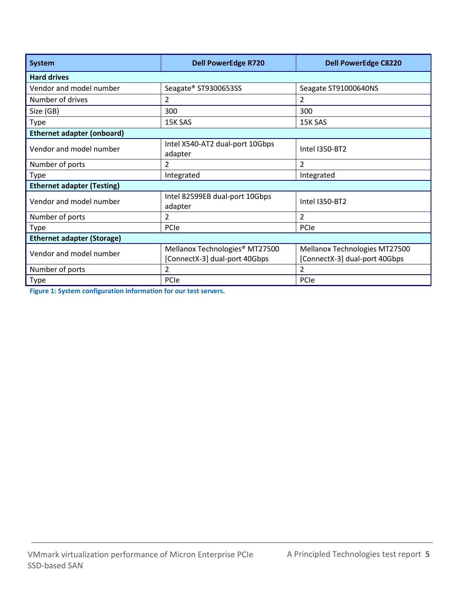| <b>System</b>                     | <b>Dell PowerEdge R720</b>                 | <b>Dell PowerEdge C8220</b>   |  |  |  |  |  |
|-----------------------------------|--------------------------------------------|-------------------------------|--|--|--|--|--|
| <b>Hard drives</b>                |                                            |                               |  |  |  |  |  |
| Vendor and model number           | Seagate® ST9300653SS                       | Seagate ST91000640NS          |  |  |  |  |  |
| Number of drives                  | $\overline{2}$                             | 2                             |  |  |  |  |  |
| Size (GB)                         | 300                                        | 300                           |  |  |  |  |  |
| <b>Type</b>                       | 15K SAS                                    | 15K SAS                       |  |  |  |  |  |
| <b>Ethernet adapter (onboard)</b> |                                            |                               |  |  |  |  |  |
| Vendor and model number           | Intel X540-AT2 dual-port 10Gbps<br>adapter | Intel I350-BT2                |  |  |  |  |  |
| Number of ports                   | 2                                          | 2                             |  |  |  |  |  |
| <b>Type</b>                       | Integrated                                 | Integrated                    |  |  |  |  |  |
| <b>Ethernet adapter (Testing)</b> |                                            |                               |  |  |  |  |  |
| Vendor and model number           | Intel 82599EB dual-port 10Gbps<br>adapter  | <b>Intel I350-BT2</b>         |  |  |  |  |  |
| Number of ports                   | 2                                          | 2                             |  |  |  |  |  |
| <b>Type</b>                       | PCIe                                       | PCIe                          |  |  |  |  |  |
| <b>Ethernet adapter (Storage)</b> |                                            |                               |  |  |  |  |  |
| Vendor and model number           | Mellanox Technologies <sup>®</sup> MT27500 | Mellanox Technologies MT27500 |  |  |  |  |  |
|                                   | [ConnectX-3] dual-port 40Gbps              | [ConnectX-3] dual-port 40Gbps |  |  |  |  |  |
| Number of ports                   | 2                                          | 2                             |  |  |  |  |  |
| Type                              | PCIe                                       | PCIe                          |  |  |  |  |  |

<span id="page-4-0"></span>**Figure 1: System configuration information for our test servers.**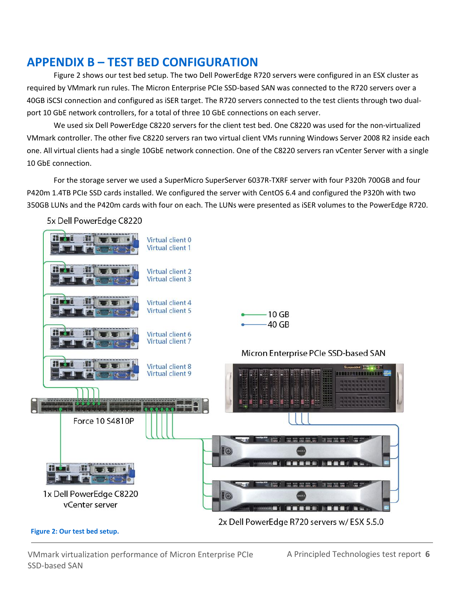### **APPENDIX B – TEST BED CONFIGURATION**

Figure 2 shows our test bed setup. The two Dell PowerEdge R720 servers were configured in an ESX cluster as required by VMmark run rules. The Micron Enterprise PCIe SSD-based SAN was connected to the R720 servers over a 40GB iSCSI connection and configured as iSER target. The R720 servers connected to the test clients through two dualport 10 GbE network controllers, for a total of three 10 GbE connections on each server.

We used six Dell PowerEdge C8220 servers for the client test bed. One C8220 was used for the non-virtualized VMmark controller. The other five C8220 servers ran two virtual client VMs running Windows Server 2008 R2 inside each one. All virtual clients had a single 10GbE network connection. One of the C8220 servers ran vCenter Server with a single 10 GbE connection.

For the storage server we used a SuperMicro SuperServer 6037R-TXRF server with four P320h 700GB and four P420m 1.4TB PCIe SSD cards installed. We configured the server with CentOS 6.4 and configured the P320h with two 350GB LUNs and the P420m cards with four on each. The LUNs were presented as iSER volumes to the PowerEdge R720.

5x Dell PowerEdge C8220



### **Figure 2: Our test bed setup.**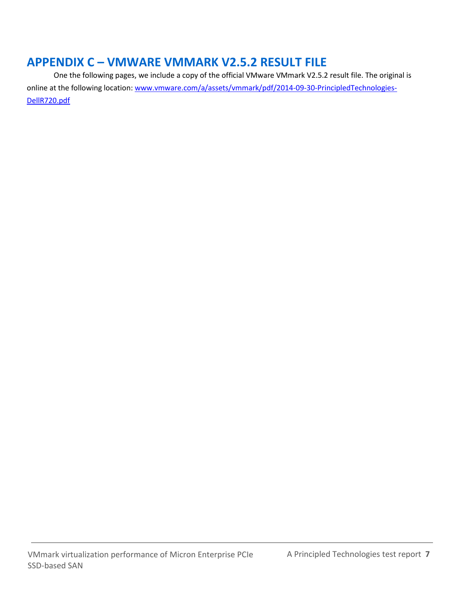# **APPENDIX C – VMWARE VMMARK V2.5.2 RESULT FILE**

One the following pages, we include a copy of the official VMware VMmark V2.5.2 result file. The original is online at the following location: [www.vmware.com/a/assets/vmmark/pdf/2014-09-30-PrincipledTechnologies-](http://www.vmware.com/a/assets/vmmark/pdf/2014-09-30-PrincipledTechnologies-DellR720.pdf)[DellR720.pdf](http://www.vmware.com/a/assets/vmmark/pdf/2014-09-30-PrincipledTechnologies-DellR720.pdf)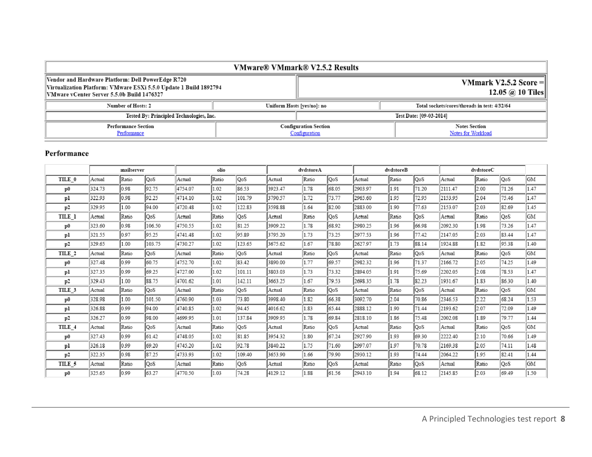| <b>VMware® VMmark® V2.5.2 Results</b>                                                                                                                                |  |                                                                            |                                             |  |  |  |  |  |  |
|----------------------------------------------------------------------------------------------------------------------------------------------------------------------|--|----------------------------------------------------------------------------|---------------------------------------------|--|--|--|--|--|--|
| Vendor and Hardware Platform: Dell PowerEdge R720<br>Virtualization Platform: VMware ESXi 5.5.0 Update 1 Build 1892794<br>VMware vCenter Server 5.5.0b Build 1476327 |  |                                                                            | VMmark V2.5.2 Score $=$<br>12.05 @ 10 Tiles |  |  |  |  |  |  |
| Number of Hosts: 2                                                                                                                                                   |  | Total sockets/cores/threads in test: 4/32/64<br>Uniform Hosts [yes/no]: no |                                             |  |  |  |  |  |  |
| Tested By: Principled Technologies, Inc.                                                                                                                             |  |                                                                            | Test Date: [09-03-2014]                     |  |  |  |  |  |  |
| <b>Performance Section</b><br>Performance                                                                                                                            |  | <b>Configuration Section</b><br>Configuration                              | <b>Notes Section</b><br>Notes for Workload  |  |  |  |  |  |  |

### Performance

|               | mailserver |       |        | olio    |       |        | dvdstoreA |       |       | dvdstoreB |       |       | dvdstoreC |       |       |           |
|---------------|------------|-------|--------|---------|-------|--------|-----------|-------|-------|-----------|-------|-------|-----------|-------|-------|-----------|
| TILE 0        | Actual     | Ratio | QoS    | Actual  | Ratio | QoS    | Actual    | Ratio | QoS   | Actual    | Ratio | QoS   | Actual    | Ratio | QoS   | <b>GM</b> |
| $\mathbf{p0}$ | 324.73     | 0.98  | 92.75  | 4754.07 | 1.02  | 86.53  | 3923.47   | 1.78  | 68.05 | 2903.97   | 1.91  | 71.20 | 2111.47   | 2.00  | 71.26 | 1.47      |
| pl            | 322.93     | 0.98  | 92.25  | 4714.10 | 1.02  | 101.79 | 3790.57   | 1.72  | 73.77 | 2965.60   | 1.95  | 72.95 | 2153.95   | 2.04  | 75.46 | 1.47      |
| p2            | 329.95     | 1.00  | 94.00  | 4720.48 | 1.02  | 122.83 | 3598.88   | 1.64  | 82.00 | 2883.00   | 1.90  | 77.63 | 2153.07   | 2.03  | 82.69 | 1.45      |
| TILE 1        | Actual     | Ratio | QoS    | Actual  | Ratio | QoS    | Actual    | Ratio | QoS   | Actual    | Ratio | QoS   | Actual    | Ratio | QoS   | GM        |
| $\mathbf{p0}$ | 323.60     | 0.98  | 106.50 | 4750.55 | 1.02  | 81.25  | 3909.22   | 1.78  | 68.92 | 2980.25   | 1.96  | 66.98 | 2092.30   | 1.98  | 73.26 | 1.47      |
| pl            | 321.55     | 0.97  | 95.25  | 4741.48 | 1.02  | 95.89  | 3795.20   | 1.73  | 73.25 | 2977.53   | 1.96  | 77.42 | 2147.05   | 2.03  | 83.44 | 1.47      |
| p2            | 329.65     | 1.00  | 103.75 | 4730.27 | 1.02  | 123.65 | 3675.62   | 1.67  | 78.80 | 2627.97   | 1.73  | 88.14 | 1924.88   | 1.82  | 95.38 | 1.40      |
| TILE 2        | Actual     | Ratio | QoS    | Actual  | Ratio | QoS    | Actual    | Ratio | QoS   | Actual    | Ratio | QoS   | Actual    | Ratio | QoS   | <b>GM</b> |
| p0            | 327.48     | 0.99  | 60.75  | 4752.70 | 1.02  | 83.42  | 3890.00   | 1.77  | 69.57 | 2982.32   | 1.96  | 71.37 | 2166.72   | 2.05  | 74.25 | 1.49      |
| pl            | 327.35     | 0.99  | 69.25  | 4727.00 | 1.02  | 101.11 | 3803.03   | 1.73  | 73.32 | 2894.05   | 1.91  | 75.69 | 2202.05   | 2.08  | 78.53 | 1.47      |
| p2            | 329.43     | 1.00  | 88.75  | 4701.62 | 1.01  | 142.11 | 3663.25   | 1.67  | 79.53 | 2698.35   | 1.78  | 82.23 | 1931.67   | 1.83  | 86.30 | 1.40      |
| TILE 3        | Actual     | Ratio | QoS    | Actual  | Ratio | QoS    | Actual    | Ratio | QoS   | Actual    | Ratio | ∣QoS  | Actual    | Ratio | QoS   | GM        |
| p0            | 328.98     | 1.00  | 101.50 | 4760.90 | 1.03  | 73.80  | 3998.40   | 1.82  | 66.38 | 3092.70   | 2.04  | 70.86 | 2346.53   | 2.22  | 68.24 | 1.53      |
| pl            | 326.88     | 0.99  | 94.00  | 4740.85 | 1.02  | 94.45  | 4016.62   | 1.83  | 65.44 | 2888.12   | 1.90  | 71.44 | 2193.62   | 2.07  | 72.09 | 1.49      |
| p2            | 326.27     | 0.99  | 98.00  | 4699.95 | 1.01  | 137.84 | 3909.95   | 1.78  | 69.84 | 2818.10   | 1.86  | 75.48 | 2002.08   | 1.89  | 79.77 | 1.44      |
| TILE 4        | Actual     | Ratio | QoS    | Actual  | Ratio | QoS    | Actual    | Ratio | QoS   | Actual    | Ratio | QoS   | Actual    | Ratio | QoS   | GM        |
| $\mathbf{p0}$ | 327.43     | 0.99  | 61.42  | 4748.05 | 1.02  | 81.85  | 3954.32   | 1.80  | 67.24 | 2927.90   | 1.93  | 69.30 | 2222.40   | 2.10  | 70.66 | 1.49      |
| pl            | 326.18     | 0.99  | 69.20  | 4745.20 | 1.02  | 92.78  | 3840.22   | 1.75  | 71.60 | 2997.07   | 1.97  | 70.78 | 2169.38   | 2.05  | 74.11 | 1.48      |
| p2            | 322.35     | 0.98  | 87.25  | 4733.93 | 1.02  | 109.40 | 3653.90   | 1.66  | 79.90 | 2930.12   | 1.93  | 74.44 | 2064.22   | 1.95  | 82.41 | 1.44      |
| TILE 5        | Actual     | Ratio | QoS    | Actual  | Ratio | QoS    | Actual    | Ratio | QoS   | Actual    | Ratio | QoS   | Actual    | Ratio | QoS   | GМ        |
| p0            | 325.65     | 0.99  | 63.27  | 4770.50 | 1.03  | 74.28  | 4129.12   | 1.88  | 61.56 | 2943.10   | 1.94  | 68.12 | 2145.85   | 2.03  | 69.49 | 1.50      |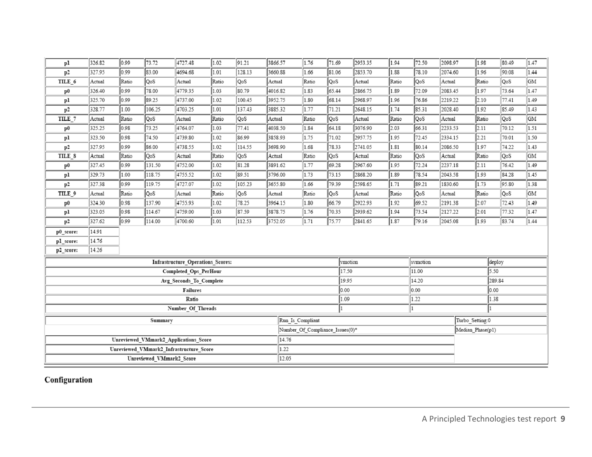| pl                                      | 326.82        | 0.99  | 73.72  | 4727.48                           | 1.02  | 91.21  | 3866.57 | 1.76                            | 71.69 | 2953.35 | 1.94  | 72.50    | 2098.97 | 1.98             |  | 80.49 | 1.47 |
|-----------------------------------------|---------------|-------|--------|-----------------------------------|-------|--------|---------|---------------------------------|-------|---------|-------|----------|---------|------------------|--|-------|------|
| p2                                      | 327.95        | 0.99  | 83.00  | 4694.68                           | 1.01  | 128.13 | 3660.88 | 1.66                            | 81.06 | 2853.70 | 1.88  | 78.10    | 2074.60 | 1.96             |  | 90.08 | 1.44 |
| TILE_6                                  | <b>Actual</b> | Ratio | QoS    | Actual                            | Ratio | QoS    | Actual  | Ratio                           | QoS   | Actual  | Ratio | QoS      | Actual  | Ratio            |  | QoS   | GM   |
| $\mathbf{p0}$                           | 326.40        | 0.99  | 78.00  | 4779.35                           | 1.03  | 80.79  | 4016.82 | 1.83                            | 65.44 | 2866.75 | 1.89  | 72.09    | 2083.45 | 1.97             |  | 73.64 | 1.47 |
| pl                                      | 325.70        | 0.99  | 89.25  | 4737.00                           | 1.02  | 100.45 | 3952.75 | 1.80                            | 68.14 | 2968.97 | 1.96  | 76.86    | 2219.22 | 2.10             |  | 77.41 | 1.49 |
| p2                                      | 328.77        | 1.00  | 106.25 | 4703.25                           | 1.01  | 137.43 | 3885.32 | 1.77                            | 71.21 | 2648.15 | 1.74  | 85.31    | 2028.40 | 1.92             |  | 85.49 | 1.43 |
| TILE <sub>7</sub>                       | Actual        | Ratio | QoS    | Actual                            | Ratio | QoS    | Actual  | Ratio                           | QoS   | Actual  | Ratio | QoS      | Actual  | Ratio            |  | QoS   | GM   |
| $\mathbf{p0}$                           | 325.25        | 0.98  | 73.25  | 4764.07                           | 1.03  | 77.41  | 4038.50 | 1.84                            | 64.18 | 3076.90 | 2.03  | 66.31    | 2233.53 | 2.11             |  | 70.12 | 1.51 |
| рl                                      | 323.50        | 0.98  | 74.50  | 4739.80                           | 1.02  | 86.99  | 3858.93 | 1.75                            | 71.02 | 2957.75 | 1.95  | 72.45    | 2334.15 | 2.21             |  | 70.01 | 1.50 |
| p2                                      | 327.95        | 0.99  | 86.00  | 4738.55                           | 1.02  | 114.55 | 3698.90 | 1.68                            | 78.33 | 2741.05 | 1.81  | 80.14    | 2086.50 | 1.97             |  | 74.22 | 1.43 |
| TILE_8                                  | Actual        | Ratio | QoS    | Actual                            | Ratio | QoS    | Actual  | Ratio                           | QoS   | Actual  | Ratio | QoS      | Actual  | Ratio            |  | QoS   | GM   |
| $\mathbf{p0}$                           | 327.45        | 0.99  | 131.50 | 4752.00                           | 1.02  | 81.28  | 3891.62 | 1.77                            | 69.28 | 2967.60 | 1.95  | 72.24    | 2237.18 | 2.11             |  | 76.42 | 1.49 |
| pl                                      | 329.73        | 1.00  | 118.75 | 4755.52                           | 1.02  | 89.51  | 3796.00 | 1.73                            | 73.15 | 2868.20 | 1.89  | 78.54    | 2043.58 | 1.93             |  | 84.28 | 1.45 |
| p2                                      | 327.38        | 0.99  | 119.75 | 4727.07                           | 1.02  | 105.23 | 3655.80 | 1.66                            | 79.39 | 2598.65 | 1.71  | 89.21    | 1830.60 | 1.73             |  | 95.80 | 1.38 |
| TILE_9                                  | Actual        | Ratio | QoS    | Actual                            | Ratio | QoS    | Actual  | Ratio                           | QoS   | Actual  | Ratio | QoS      | Actual  | Ratio            |  | QoS   | GM   |
| $\mathbf{p0}$                           | 324.30        | 0.98  | 137.90 | 4755.93                           | 1.02  | 78.25  | 3964.15 | 1.80                            | 66.79 | 2922.93 | 1.92  | 69.52    | 2191.38 | 2.07             |  | 72.43 | 1.49 |
| рl                                      | 323.05        | 0.98  | 114.67 | 4759.00                           | 1.03  | 87.59  | 3878.75 | 1.76                            | 70.35 | 2939.62 | 1.94  | 73.54    | 2127.22 | 2.01             |  | 77.32 | 1.47 |
| p2                                      | 327.62        | 0.99  | 114.00 | 4700.60                           | 1.01  | 112.53 | 3752.05 | 1.71                            | 75.77 | 2841.65 | 1.87  | 79.16    | 2045.08 | 1.93             |  | 83.74 | 1.44 |
| p0_score:                               | 14.91         |       |        |                                   |       |        |         |                                 |       |         |       |          |         |                  |  |       |      |
| pl_score:                               | 14.76         |       |        |                                   |       |        |         |                                 |       |         |       |          |         |                  |  |       |      |
| p2_score:                               | 14.26         |       |        |                                   |       |        |         |                                 |       |         |       |          |         |                  |  |       |      |
|                                         |               |       |        | Infrastructure Operations Scores: |       |        |         |                                 |       | vmotion |       | symotion |         | deploy           |  |       |      |
|                                         |               |       |        | Completed Ops PerHour             |       |        |         | 17.50<br>11.00                  |       |         |       |          |         | 5.50             |  |       |      |
|                                         |               |       |        | Avg Seconds To Complete           |       |        |         | 19.95<br>14.20                  |       |         |       | 289.84   |         |                  |  |       |      |
|                                         |               |       |        | Failures                          |       |        |         | 0.00<br>0.00                    |       |         |       | 0.00     |         |                  |  |       |      |
| Ratio                                   |               |       |        |                                   |       |        |         |                                 | 1.09  |         | 1.22  |          |         | 1.38             |  |       |      |
| Number_Of_Threads                       |               |       |        |                                   |       |        |         | 1                               |       |         | 1     |          |         |                  |  |       |      |
| Summary                                 |               |       |        |                                   |       |        |         | Run Is Compliant                |       |         |       |          |         | Turbo Setting:0  |  |       |      |
|                                         |               |       |        |                                   |       |        |         | Number Of Compliance Issues(0)* |       |         |       |          |         | Median Phase(p1) |  |       |      |
| Unreviewed_VMmark2_Applications_Score   |               |       |        |                                   |       |        | 14.76   |                                 |       |         |       |          |         |                  |  |       |      |
| Unreviewed_VMmark2_Infrastructure_Score |               |       |        |                                   |       |        | 1.22    |                                 |       |         |       |          |         |                  |  |       |      |
| Unreviewed_VMmark2_Score                |               |       |        |                                   |       | 12.05  |         |                                 |       |         |       |          |         |                  |  |       |      |

Configuration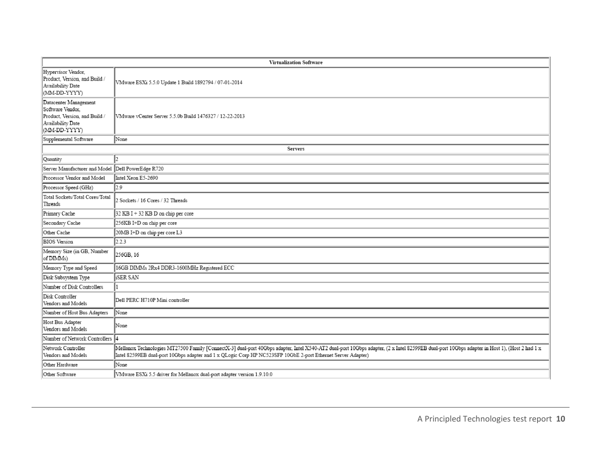|                                                                                                                 | <b>Virtualization Software</b>                                                                                                                                                                                                                                                                               |  |  |  |  |  |  |  |
|-----------------------------------------------------------------------------------------------------------------|--------------------------------------------------------------------------------------------------------------------------------------------------------------------------------------------------------------------------------------------------------------------------------------------------------------|--|--|--|--|--|--|--|
| Hypervisor Vendor,<br>Product, Version, and Build /<br>Availability Date<br>(MM-DD-YYYY)                        | VMware ESXi 5.5.0 Update 1 Build 1892794 / 07-01-2014                                                                                                                                                                                                                                                        |  |  |  |  |  |  |  |
| Datacenter Management<br>Software Vendor,<br>Product, Version, and Build /<br>Availability Date<br>(MM-DD-YYYY) | VMware vCenter Server 5.5.0b Build 1476327 / 12-22-2013                                                                                                                                                                                                                                                      |  |  |  |  |  |  |  |
| Supplemental Software                                                                                           | None                                                                                                                                                                                                                                                                                                         |  |  |  |  |  |  |  |
|                                                                                                                 | Servers                                                                                                                                                                                                                                                                                                      |  |  |  |  |  |  |  |
| Quantity                                                                                                        |                                                                                                                                                                                                                                                                                                              |  |  |  |  |  |  |  |
| Server Manufacturer and Model                                                                                   | Dell PowerEdge R720                                                                                                                                                                                                                                                                                          |  |  |  |  |  |  |  |
| Processor Vendor and Model                                                                                      | Intel Xeon E5-2690                                                                                                                                                                                                                                                                                           |  |  |  |  |  |  |  |
| Processor Speed (GHz)                                                                                           | 2.9                                                                                                                                                                                                                                                                                                          |  |  |  |  |  |  |  |
| Total Sockets/Total Cores/Total<br>Threads                                                                      | 2 Sockets / 16 Cores / 32 Threads                                                                                                                                                                                                                                                                            |  |  |  |  |  |  |  |
| Primary Cache                                                                                                   | 32 KB I + 32 KB D on chip per core                                                                                                                                                                                                                                                                           |  |  |  |  |  |  |  |
| Secondary Cache                                                                                                 | 256KB I+D on chip per core                                                                                                                                                                                                                                                                                   |  |  |  |  |  |  |  |
| Other Cache                                                                                                     | 20MB I+D on chip per core L3                                                                                                                                                                                                                                                                                 |  |  |  |  |  |  |  |
| <b>BIOS</b> Version                                                                                             | 2.2.3                                                                                                                                                                                                                                                                                                        |  |  |  |  |  |  |  |
| Memory Size (in GB, Number<br>of DIMMs)                                                                         | 256GB, 16                                                                                                                                                                                                                                                                                                    |  |  |  |  |  |  |  |
| Memory Type and Speed                                                                                           | 16GB DIMMs 2Rx4 DDR3-1600MHz Registered ECC                                                                                                                                                                                                                                                                  |  |  |  |  |  |  |  |
| Disk Subsystem Type                                                                                             | <b>iSER SAN</b>                                                                                                                                                                                                                                                                                              |  |  |  |  |  |  |  |
| Number of Disk Controllers                                                                                      |                                                                                                                                                                                                                                                                                                              |  |  |  |  |  |  |  |
| Disk Controller<br>Vendors and Models                                                                           | Dell PERC H710P Mini controller                                                                                                                                                                                                                                                                              |  |  |  |  |  |  |  |
| Number of Host Bus Adapters                                                                                     | None                                                                                                                                                                                                                                                                                                         |  |  |  |  |  |  |  |
| Host Bus Adapter<br>Vendors and Models                                                                          | None                                                                                                                                                                                                                                                                                                         |  |  |  |  |  |  |  |
| Number of Network Controllers 4                                                                                 |                                                                                                                                                                                                                                                                                                              |  |  |  |  |  |  |  |
| Network Controller<br>Vendors and Models                                                                        | Mellanox Technologies MT27500 Family [ConnectX-3] dual-port 40Gbps adapter, Intel X540-AT2 dual-port 10Gbps adapter, (2 x Intel 82599EB dual-port 10Gbps adapter in Host 1), (Host 2 had 1 x<br>Intel 82599EB dual-port 10Gbps adapter and 1 x QLogic Corp HP NC523SFP 10GbE 2-port Ethernet Server Adapter) |  |  |  |  |  |  |  |
| Other Hardware                                                                                                  | None                                                                                                                                                                                                                                                                                                         |  |  |  |  |  |  |  |
| Other Software                                                                                                  | VMware ESXi 5.5 driver for Mellanox dual-port adapter version 1.9.10.0                                                                                                                                                                                                                                       |  |  |  |  |  |  |  |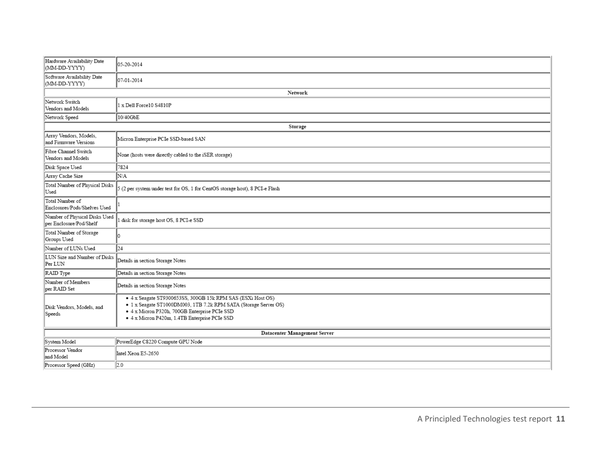| Hardware Availability Date<br>(MM-DD-YYYY)               | 05-20-2014                                                                                                                                                                                                                        |
|----------------------------------------------------------|-----------------------------------------------------------------------------------------------------------------------------------------------------------------------------------------------------------------------------------|
| Software Availability Date<br>(MM-DD-YYYY)               | 07-01-2014                                                                                                                                                                                                                        |
|                                                          | Network                                                                                                                                                                                                                           |
| Network Switch<br>Vendors and Models                     | 1 x Dell Force10 S4810P                                                                                                                                                                                                           |
| Network Speed                                            | 10/40GbE                                                                                                                                                                                                                          |
|                                                          | Storage                                                                                                                                                                                                                           |
| Array Vendors, Models,<br>and Firmware Versions          | Micron Enterprise PCIe SSD-based SAN                                                                                                                                                                                              |
| Fibre Channel Switch<br>Vendors and Models               | None (hosts were directly cabled to the iSER storage)                                                                                                                                                                             |
| Disk Space Used                                          | 7824                                                                                                                                                                                                                              |
| Array Cache Size                                         | N/A                                                                                                                                                                                                                               |
| Total Number of Physical Disks<br>Used                   | 5 (2 per system under test for OS, 1 for CentOS storage host), 8 PCI-e Flash                                                                                                                                                      |
| Total Number of<br>Enclosures/Pods/Shelves Used          |                                                                                                                                                                                                                                   |
| Number of Physical Disks Used<br>per Enclosure/Pod/Shelf | disk for storage host OS, 8 PCI-e SSD                                                                                                                                                                                             |
| Total Number of Storage<br>Groups Used                   |                                                                                                                                                                                                                                   |
| Number of LUNs Used                                      | 24                                                                                                                                                                                                                                |
| LUN Size and Number of Disks<br>Per LUN                  | Details in section Storage Notes                                                                                                                                                                                                  |
| RAID Type                                                | Details in section Storage Notes                                                                                                                                                                                                  |
| Number of Members<br>per RAID Set                        | Details in section Storage Notes                                                                                                                                                                                                  |
| Disk Vendors, Models, and<br>Speeds                      | · 4 x Seagate ST9300653SS, 300GB 15k RPM SAS (ESXi Host OS)<br>• 1 x Seagate ST1000DM003, 1TB 7.2k RPM SATA (Storage Server OS)<br>· 4 x Micron P320h, 700GB Enterprise PCIe SSD<br>· 4 x Micron P420m, 1.4TB Enterprise PCIe SSD |
|                                                          | Datacenter Management Server                                                                                                                                                                                                      |
| System Model                                             | PowerEdge C8220 Compute GPU Node                                                                                                                                                                                                  |
| Processor Vendor<br>and Model                            | Intel Xeon E5-2650                                                                                                                                                                                                                |
| Processor Speed (GHz)                                    | 2.0                                                                                                                                                                                                                               |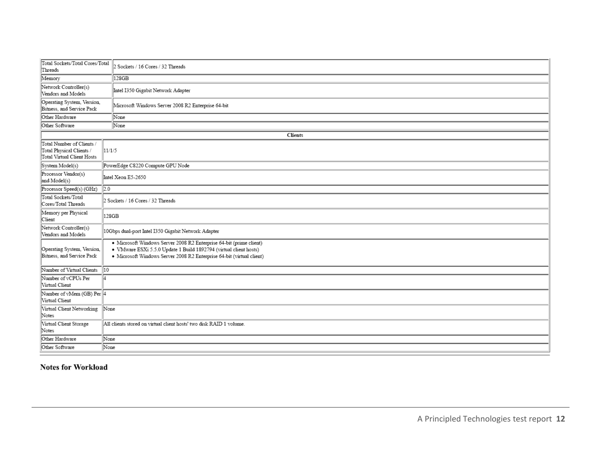| Total Sockets/Total Cores/Total<br>Threads                                          | 2 Sockets / 16 Cores / 32 Threads                                                                                                                                                                                 |  |  |  |  |  |  |  |
|-------------------------------------------------------------------------------------|-------------------------------------------------------------------------------------------------------------------------------------------------------------------------------------------------------------------|--|--|--|--|--|--|--|
| Memory                                                                              | 128GB                                                                                                                                                                                                             |  |  |  |  |  |  |  |
| Network Controller(s)<br>Vendors and Models                                         | Intel I350 Gigabit Network Adapter                                                                                                                                                                                |  |  |  |  |  |  |  |
| Operating System, Version,<br>Bitness, and Service Pack                             | Microsoft Windows Server 2008 R2 Enterprise 64-bit                                                                                                                                                                |  |  |  |  |  |  |  |
| Other Hardware                                                                      | None                                                                                                                                                                                                              |  |  |  |  |  |  |  |
| Other Software                                                                      | None                                                                                                                                                                                                              |  |  |  |  |  |  |  |
|                                                                                     | Clients                                                                                                                                                                                                           |  |  |  |  |  |  |  |
| Total Number of Clients /<br>Total Physical Clients /<br>Total Virtual Client Hosts | 11/1/5                                                                                                                                                                                                            |  |  |  |  |  |  |  |
| System Model(s)                                                                     | PowerEdge C8220 Compute GPU Node                                                                                                                                                                                  |  |  |  |  |  |  |  |
| Processor Vendor(s)<br>and Model(s)                                                 | Intel Xeon E5-2650                                                                                                                                                                                                |  |  |  |  |  |  |  |
| Processor Speed(s) (GHz)                                                            | $\overline{2.0}$                                                                                                                                                                                                  |  |  |  |  |  |  |  |
| Total Sockets/Total<br>Cores/Total Threads                                          | 2 Sockets / 16 Cores / 32 Threads                                                                                                                                                                                 |  |  |  |  |  |  |  |
| Memory per Physical<br>Client                                                       | 128GB                                                                                                                                                                                                             |  |  |  |  |  |  |  |
| Network Controller(s)<br>Vendors and Models                                         | 10Gbps dual-port Intel I350 Gigabit Network Adapter                                                                                                                                                               |  |  |  |  |  |  |  |
| Operating System, Version,<br>Bitness, and Service Pack                             | · Microsoft Windows Server 2008 R2 Enterprise 64-bit (prime client)<br>· VMware ESXi 5.5.0 Update 1 Build 1892794 (virtual client hosts)<br>· Microsoft Windows Server 2008 R2 Enterprise 64-bit (virtual client) |  |  |  |  |  |  |  |
| 10<br>Number of Virtual Clients                                                     |                                                                                                                                                                                                                   |  |  |  |  |  |  |  |
| Number of vCPUs Per<br>lл<br>Virtual Client                                         |                                                                                                                                                                                                                   |  |  |  |  |  |  |  |
| Number of vMem (GB) Per 4<br>Virtual Client                                         |                                                                                                                                                                                                                   |  |  |  |  |  |  |  |
| Virtual Client Networking<br>Notes                                                  | None                                                                                                                                                                                                              |  |  |  |  |  |  |  |
| Virtual Client Storage<br>Notes                                                     | All clients stored on virtual client hosts' two disk RAID 1 volume.                                                                                                                                               |  |  |  |  |  |  |  |
| Other Hardware                                                                      | None                                                                                                                                                                                                              |  |  |  |  |  |  |  |
| Other Software                                                                      | None                                                                                                                                                                                                              |  |  |  |  |  |  |  |

Notes for Workload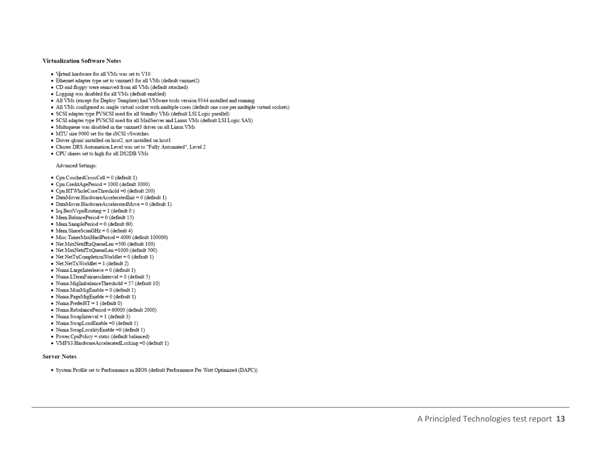#### **Virtualization Software Notes**

- Virtual hardware for all VMs was set to V10
- Ethernet adapter type set to vmxnet3 for all VMs (default vmxnet2)
- CD and floppy were removed from all VMs (default attached)
- Logging was disabled for all VMs (default enabled)
- All VMs (except for Deploy Template) had VMware tools version 9344 installed and running
- · All VMs configured as single virtual socket with multiple cores (default one core per multiple virtual sockets)
- SCSI adapter type PVSCSI used for all Standby VMs (default LSI Logic parallel)
- · SCSI adapter type PVSCSI used for all MailServer and Linux VMs (default LSI Logic SAS)
- · Multiqueue was disabled in the vmxnet3 driver on all Linux VMs
- · MTU size 9000 set for the iSCSI vSwitches
- · Driver qlcnic installed on host2, not installed on host1
- Cluster DRS Automation Level was set to "Fully Automated", Level 2
- CPU shares set to high for all DS2DB VMs

Advanced Settings:

- Cpu.CoschedCrossCall = 0 (default 1)
- · Cpu.CreditAgePeriod = 1000 (default 3000)
- · Cpu.HTWholeCoreThreshold =0 (default 200)
- $\bullet$  DataMover.HardwareAcceleratedInit = 0 (default 1)
- · DataMover.HardwareAcceleratedMove = 0 (default 1)
- Irq.BestVcpuRouting = 1 (default 0)
- Mem.BalancePeriod =  $0$  (default 15)
- $\bullet$  Mem.SamplePeriod = 0 (default 60)
- Mem.ShareScanGHz =  $0$  (default 4)
- · Misc.TimerMaxHardPeriod = 4000 (default 100000)
- · Net.MaxNetifRxQueueLen =500 (default 100)
- Net.MaxNetifTxQueueLen=1000 (default 500)
- Net.NetTxCompletionWorldlet =  $0$  (default 1)
- Net.NetTxWorldlet =  $1$  (default 2)
- $\bullet$  Numa.LargeInterleave = 0 (default 1)
- Numa.LTermFairnessInterval =  $0$  (default 5)
- Numa.MigImbalanceThreshold =  $57$  (default 10)
- $\bullet$  Numa.MonMigEnable = 0 (default 1)
- $\bullet$  Numa.PageMigEnable = 0 (default 1)
- $\bullet$  Numa.PreferHT = 1 (default 0)
- · Numa.RebalancePeriod = 60000 (default 2000)
- $\bullet$  Numa.SwapInterval = 1 (default 3)
- Numa.SwapLoadEnable =0 (default 1)
- · Numa.SwapLocalityEnable =0 (default 1)
- Power.CpuPolicy = static (default balanced)
- · VMFS3.HardwareAcceleratedLocking =0 (default 1)

#### **Server Notes**

· System Profile set to Performance in BIOS (default Performance Per Watt Optimized (DAPC))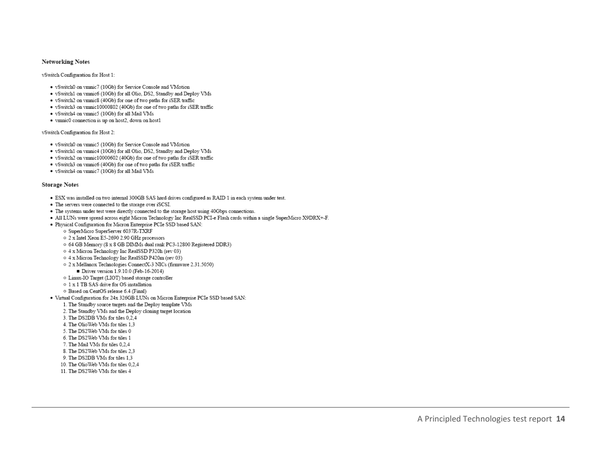#### **Networking Notes**

vSwitch Configuration for Host 1:

- · vSwitch0 on vmnic7 (10Gb) for Service Console and VMotion
- · vSwitch1 on vmnic6 (10Gb) for all Olio, DS2, Standby and Deploy VMs
- · vSwitch2 on vmnic8 (40Gb) for one of two paths for iSER traffic
- · vSwitch3 on vmnic10000802 (40Gb) for one of two paths for iSER traffic
- · vSwitch4 on vmnic5 (10Gb) for all Mail VMs
- · vmnic0 connection is up on host2, down on host1

vSwitch Configuration for Host 2:

- · vSwitch0 on vmnic5 (10Gb) for Service Console and VMotion
- · vSwitch1 on vmnic4 (10Gb) for all Olio, DS2, Standby and Deploy VMs
- vSwitch2 on vmnic10000602 (40Gb) for one of two paths for iSER traffic
- · vSwitch3 on vmnic6 (40Gb) for one of two paths for iSER traffic
- · vSwitch4 on vmnic7 (10Gb) for all Mail VMs

#### **Storage Notes**

- · ESX was installed on two internal 300GB SAS hard drives configured as RAID 1 in each system under test.
- The servers were connected to the storage over iSCSI.
- The systems under test were directly connected to the storage host using 40Gbps connections.
- All LUNs were spread across eight Micron Technology Inc RealSSD PCI-e Flash cards within a single SuperMicro X9DRX+-F.
- · Physical Configuration for Micron Enterprise PCIe SSD based SAN:
	- o SuperMicro SuperServer 6037R-TXRF
	- 2 x Intel Xeon E5-2690 2.90 GHz processors
	- o 64 GB Memory (8 x 8 GB DIMMs dual rank PC3-12800 Registered DDR3)
	- o 4 x Micron Technology Inc RealSSD P320h (rev 03)
	- o 4 x Micron Technology Inc RealSSD P420m (rev 03)
	- o 2 x Mellanox Technologies ConnectX-3 NICs (firmware 2.31.5050)
		- Driver version 1.9.10.0 (Feb-16-2014)
	- o Linux-IO Target (LIOT) based storage controller
	- o 1 x 1 TB SAS drive for OS installation
	- O Based on CentOS release 6.4 (Final)
- · Virtual Configuration for 24x 326GB LUNs on Micron Enterprise PCIe SSD based SAN:
	- 1. The Standby source targets and the Deploy template VMs
	- 2. The Standby VMs and the Deploy cloning target location
	- 3. The DS2DB VMs for tiles 0.2.4
	- 4. The OlioWeb VMs for tiles 1.3
	- 5. The DS2Web VMs for tiles 0
	- 6. The DS2Web VMs for tiles 1
	- 7. The Mail VMs for tiles 0.2.4
	- 8. The DS2Web VMs for tiles 2.3
	- 9. The DS2DB VMs for tiles 1.3
	- 10. The OlioWeb VMs for tiles 0,2,4
	- 11. The DS2Web VMs for tiles 4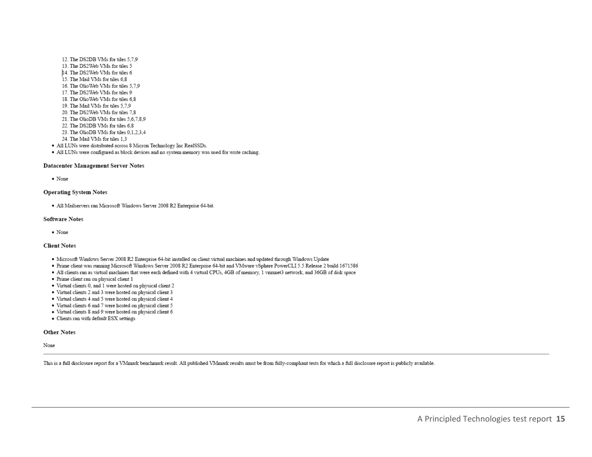- 12. The DS2DB VMs for tiles 5.7.9 13. The DS2Web VMs for tiles 5 14. The DS2Web VMs for tiles 6 15. The Mail VMs for tiles 6,8 16. The OlioWeb VMs for tiles 5,7,9 17. The DS2Web VMs for tiles 9 18. The OlioWeb VMs for tiles 6.8 19. The Mail VMs for tiles 5.7.9 20. The DS2Web VMs for tiles 7.8 21. The OlioDB VMs for tiles 5,6,7,8,9 22. The DS2DB VMs for tiles 6,8 23. The OlioDB VMs for tiles 0.1.2.3.4 24. The Mail VMs for tiles 1.3
- · All LUNs were distributed across 8 Micron Technology Inc RealSSDs.
- · All LUNs were configured as block devices and no system memory was used for write caching.

#### Datacenter Management Server Notes

• None

#### **Operating System Notes**

· All Mailservers ran Microsoft Windows Server 2008 R2 Enterprise 64-bit.

#### **Software Notes**

• None

#### **Client Notes**

- · Microsoft Windows Server 2008 R2 Enterprise 64-bit installed on client virtual machines and updated through Windows Update
- · Prime client was running Microsoft Windows Server 2008 R2 Enterprise 64-bit and VMware vSphere PowerCLI 5.5 Release 2 build 1671586
- . All clients ran as virtual machines that were each defined with 4 virtual CPUs, 4GB of memory, 1 vmxnet3 network, and 36GB of disk space
- · Prime client ran on physical client 1
- · Virtual clients 0, and 1 were hosted on physical client 2
- · Virtual clients 2 and 3 were hosted on physical client 3
- · Virtual clients 4 and 5 were hosted on physical client 4
- · Virtual clients 6 and 7 were hosted on physical client 5
- · Virtual clients 8 and 9 were hosted on physical client 6
- Clients ran with default ESX settings

#### **Other Notes**

None

This is a full disclosure report for a VMmark benchmark result. All published VMmark results must be from fully-compliant tests for which a full disclosure report is publicly available.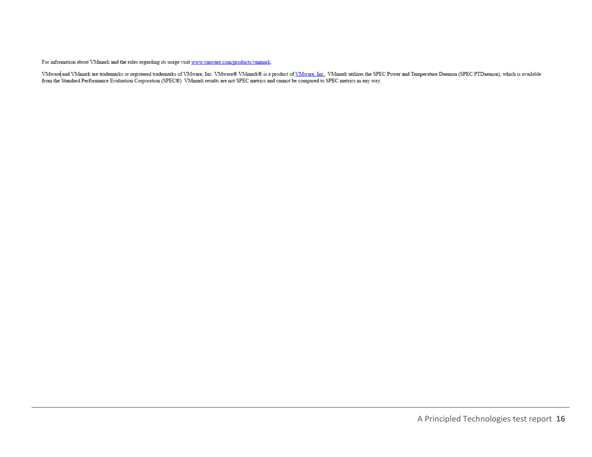For information about VMmark and the rules regarding its usage visit  $\frac{www.vmware.com/products/vmmark}{}$ .

VMware and VMmark are trademarks or registered trademarks of VMware, Inc. VMware® VMmark® is a product of <u>VMware, Inc.</u> VMmark utilizes the SPEC Power and Temperature Daemon (SPEC PTDaemon), which is available from the St